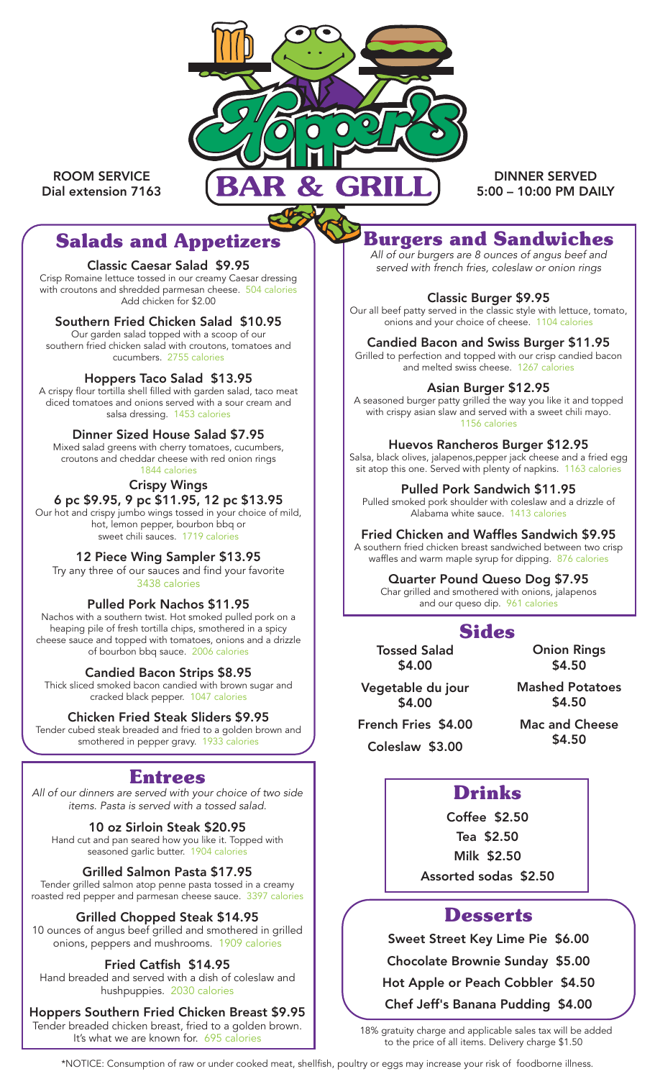

ROOM SERVICE Dial extension 7163

DINNER SERVED 5:00 – 10:00 PM DAILY

# **Salads and Appetizers**

#### Classic Caesar Salad \$9.95

Crisp Romaine lettuce tossed in our creamy Caesar dressing with croutons and shredded parmesan cheese. 504 calories Add chicken for \$2.00

### Southern Fried Chicken Salad \$10.95

Our garden salad topped with a scoop of our southern fried chicken salad with croutons, tomatoes and cucumbers. 2755 calories

### Hoppers Taco Salad \$13.95

A crispy flour tortilla shell filled with garden salad, taco meat diced tomatoes and onions served with a sour cream and salsa dressing. 1453 calories

### Dinner Sized House Salad \$7.95

Mixed salad greens with cherry tomatoes, cucumbers, croutons and cheddar cheese with red onion rings 1844 calories

### Crispy Wings

### 6 pc \$9.95, 9 pc \$11.95, 12 pc \$13.95

Our hot and crispy jumbo wings tossed in your choice of mild, hot, lemon pepper, bourbon bbq or sweet chili sauces. 1719 calories

### 12 Piece Wing Sampler \$13.95

Try any three of our sauces and find your favorite 3438 calories

#### Pulled Pork Nachos \$11.95

Nachos with a southern twist. Hot smoked pulled pork on a heaping pile of fresh tortilla chips, smothered in a spicy cheese sauce and topped with tomatoes, onions and a drizzle of bourbon bbq sauce. 2006 calories

#### Candied Bacon Strips \$8.95

Thick sliced smoked bacon candied with brown sugar and cracked black pepper. 1047 calories

### Chicken Fried Steak Sliders \$9.95

Tender cubed steak breaded and fried to a golden brown and smothered in pepper gravy. 1933 calories

# **Entrees**

*All of our dinners are served with your choice of two side items. Pasta is served with a tossed salad.*

10 oz Sirloin Steak \$20.95 Hand cut and pan seared how you like it. Topped with seasoned garlic butter. 1904 calories

### Grilled Salmon Pasta \$17.95

Tender grilled salmon atop penne pasta tossed in a creamy roasted red pepper and parmesan cheese sauce. 3397 calories

### Grilled Chopped Steak \$14.95

10 ounces of angus beef grilled and smothered in grilled onions, peppers and mushrooms. 1909 calories

#### Fried Catfish \$14.95

Hand breaded and served with a dish of coleslaw and hushpuppies. 2030 calories

Hoppers Southern Fried Chicken Breast \$9.95

Tender breaded chicken breast, fried to a golden brown.<br>It's what we are known for. 695 calories

**Burgers and Sandwiches**

*All of our burgers are 8 ounces of angus beef and served with french fries, coleslaw or onion rings*

#### Classic Burger \$9.95

Our all beef patty served in the classic style with lettuce, tomato, onions and your choice of cheese. 1104 calories

#### Candied Bacon and Swiss Burger \$11.95

Grilled to perfection and topped with our crisp candied bacon and melted swiss cheese. 1267 calories

#### Asian Burger \$12.95

A seasoned burger patty grilled the way you like it and topped with crispy asian slaw and served with a sweet chili mayo. 1156 calories

#### Huevos Rancheros Burger \$12.95

Salsa, black olives, jalapenos,pepper jack cheese and a fried egg sit atop this one. Served with plenty of napkins. 1163 calories

Pulled Pork Sandwich \$11.95

Pulled smoked pork shoulder with coleslaw and a drizzle of Alabama white sauce. 1413 calories

#### Fried Chicken and Waffles Sandwich \$9.95

A southern fried chicken breast sandwiched between two crisp waffles and warm maple syrup for dipping. 876 calories

### Quarter Pound Queso Dog \$7.95

Char grilled and smothered with onions, jalapenos and our queso dip. 961 calorie

# **Sides**

Tossed Salad \$4.00

Onion Rings \$4.50

Vegetable du jour \$4.00

Mashed Potatoes \$4.50

French Fries \$4.00 Coleslaw \$3.00

Mac and Cheese \$4.50

# **Drinks**

Coffee \$2.50 Tea \$2.50 Milk \$2.50 Assorted sodas \$2.50

### **Desserts**

Sweet Street Key Lime Pie \$6.00

Chocolate Brownie Sunday \$5.00

Hot Apple or Peach Cobbler \$4.50

Chef Jeff's Banana Pudding \$4.00

18% gratuity charge and applicable sales tax will be added to the price of all items. Delivery charge \$1.50

\*NOTICE: Consumption of raw or under cooked meat, shellfish, poultry or eggs may increase your risk of foodborne illness.